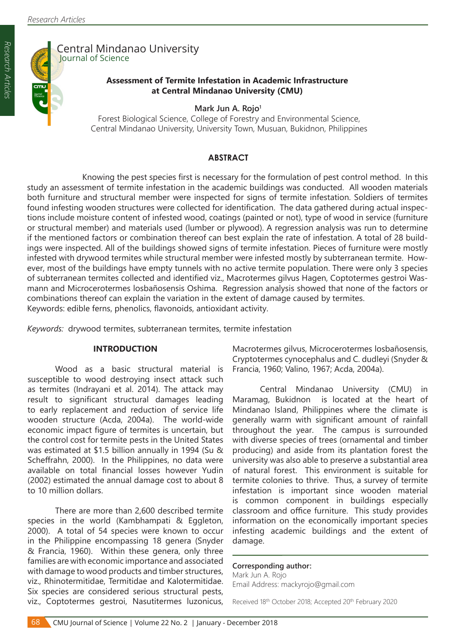

# Central Mindanao University Journal of Science

### **Assessment of Termite Infestation in Academic Infrastructure at Central Mindanao University (CMU)**

Mark Jun A. Rojo<sup>1</sup>

 Forest Biological Science, College of Forestry and Environmental Science, Central Mindanao University, University Town, Musuan, Bukidnon, Philippines

### **ABSTRACT**

Knowing the pest species first is necessary for the formulation of pest control method. In this study an assessment of termite infestation in the academic buildings was conducted. All wooden materials both furniture and structural member were inspected for signs of termite infestation. Soldiers of termites found infesting wooden structures were collected for identification. The data gathered during actual inspections include moisture content of infested wood, coatings (painted or not), type of wood in service (furniture or structural member) and materials used (lumber or plywood). A regression analysis was run to determine if the mentioned factors or combination thereof can best explain the rate of infestation. A total of 28 buildings were inspected. All of the buildings showed signs of termite infestation. Pieces of furniture were mostly infested with drywood termites while structural member were infested mostly by subterranean termite. However, most of the buildings have empty tunnels with no active termite population. There were only 3 species of subterranean termites collected and identified viz., Macrotermes gilvus Hagen, Coptotermes gestroi Wasmann and Microcerotermes losbañosensis Oshima. Regression analysis showed that none of the factors or combinations thereof can explain the variation in the extent of damage caused by termites. Keywords: edible ferns, phenolics, flavonoids, antioxidant activity.

*Keywords:* drywood termites, subterranean termites, termite infestation

#### **INTRODUCTION**

Wood as a basic structural material is susceptible to wood destroying insect attack such as termites (Indrayani et al. 2014). The attack may result to significant structural damages leading to early replacement and reduction of service life wooden structure (Acda, 2004a). The world-wide economic impact figure of termites is uncertain, but the control cost for termite pests in the United States was estimated at \$1.5 billion annually in 1994 (Su & Scheffrahn, 2000). In the Philippines, no data were available on total financial losses however Yudin (2002) estimated the annual damage cost to about 8 to 10 million dollars.

There are more than 2,600 described termite species in the world (Kambhampati & Eggleton, 2000). A total of 54 species were known to occur in the Philippine encompassing 18 genera (Snyder & Francia, 1960). Within these genera, only three families are with economic importance and associated with damage to wood products and timber structures, viz., Rhinotermitidae, Termitidae and Kalotermitidae. Six species are considered serious structural pests, viz., Coptotermes gestroi, Nasutitermes luzonicus, Macrotermes gilvus, Microcerotermes losbañosensis, Cryptotermes cynocephalus and C. dudleyi (Snyder & Francia, 1960; Valino, 1967; Acda, 2004a).

Central Mindanao University (CMU) in Maramag, Bukidnon is located at the heart of Mindanao Island, Philippines where the climate is generally warm with significant amount of rainfall throughout the year. The campus is surrounded with diverse species of trees (ornamental and timber producing) and aside from its plantation forest the university was also able to preserve a substantial area of natural forest. This environment is suitable for termite colonies to thrive. Thus, a survey of termite infestation is important since wooden material is common component in buildings especially classroom and office furniture. This study provides information on the economically important species infesting academic buildings and the extent of damage.

#### **Corresponding author:**

Mark Jun A. Rojo Email Address: mackyrojo@gmail.com

Received 18th October 2018; Accepted 20th February 2020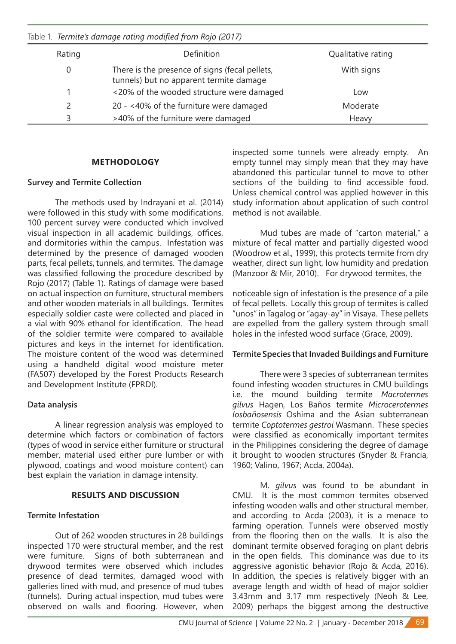Table 1. *Termite's damage rating modified from Rojo (2017)*

| Rating | Definition                                                                                | Qualitative rating |
|--------|-------------------------------------------------------------------------------------------|--------------------|
|        | There is the presence of signs (fecal pellets,<br>tunnels) but no apparent termite damage | With signs         |
|        | <20% of the wooded structure were damaged                                                 | Low                |
|        | 20 - <40% of the furniture were damaged                                                   | Moderate           |
|        | >40% of the furniture were damaged                                                        | Heavy              |

## **METHODOLOGY**

## **Survey and Termite Collection**

 The methods used by Indrayani et al. (2014) were followed in this study with some modifications. 100 percent survey were conducted which involved visual inspection in all academic buildings, offices, and dormitories within the campus. Infestation was determined by the presence of damaged wooden parts, fecal pellets, tunnels, and termites. The damage was classified following the procedure described by Rojo (2017) (Table 1). Ratings of damage were based on actual inspection on furniture, structural members and other wooden materials in all buildings. Termites especially soldier caste were collected and placed in a vial with 90% ethanol for identification. The head of the soldier termite were compared to available pictures and keys in the internet for identification. The moisture content of the wood was determined using a handheld digital wood moisture meter (FA507) developed by the Forest Products Research and Development Institute (FPRDI).

## **Data analysis**

 A linear regression analysis was employed to determine which factors or combination of factors (types of wood in service either furniture or structural member, material used either pure lumber or with plywood, coatings and wood moisture content) can best explain the variation in damage intensity.

#### **RESULTS AND DISCUSSION**

## **Termite Infestation**

 Out of 262 wooden structures in 28 buildings inspected 170 were structural member, and the rest were furniture. Signs of both subterranean and drywood termites were observed which includes presence of dead termites, damaged wood with galleries lined with mud, and presence of mud tubes (tunnels). During actual inspection, mud tubes were observed on walls and flooring. However, when

inspected some tunnels were already empty. An empty tunnel may simply mean that they may have abandoned this particular tunnel to move to other sections of the building to find accessible food. Unless chemical control was applied however in this study information about application of such control method is not available.

 Mud tubes are made of "carton material," a mixture of fecal matter and partially digested wood (Woodrow et al., 1999), this protects termite from dry weather, direct sun light, low humidity and predation (Manzoor & Mir, 2010). For drywood termites, the

noticeable sign of infestation is the presence of a pile of fecal pellets. Locally this group of termites is called "unos"in Tagalog or"agay-ay"in Visaya. These pellets are expelled from the gallery system through small holes in the infested wood surface (Grace, 2009).

## **Termite Species that Invaded Buildings and Furniture**

 There were 3 species of subterranean termites found infesting wooden structures in CMU buildings i.e. the mound building termite *Macrotermes gilvus* Hagen, Los Baños termite *Microcerotermes losbañosensis* Oshima and the Asian subterranean termite *Coptotermes gestroi* Wasmann. These species were classified as economically important termites in the Philippines considering the degree of damage it brought to wooden structures (Snyder & Francia, 1960; Valino, 1967; Acda, 2004a).

 M. *gilvus* was found to be abundant in CMU. It is the most common termites observed infesting wooden walls and other structural member, and according to Acda (2003), it is a menace to farming operation. Tunnels were observed mostly from the flooring then on the walls. It is also the dominant termite observed foraging on plant debris in the open fields. This dominance was due to its aggressive agonistic behavior (Rojo & Acda, 2016). In addition, the species is relatively bigger with an average length and width of head of major soldier 3.43mm and 3.17 mm respectively (Neoh & Lee, 2009) perhaps the biggest among the destructive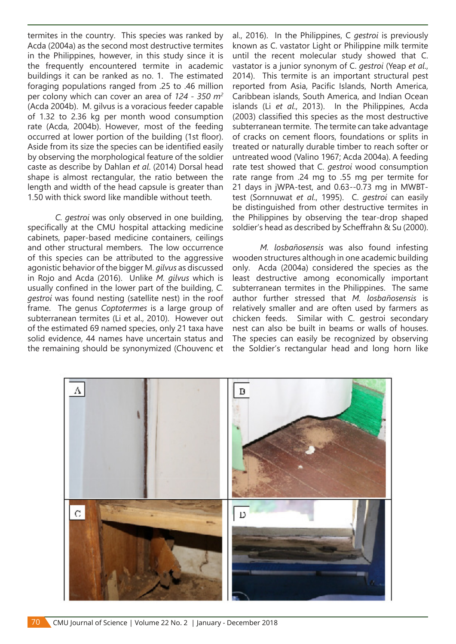termites in the country. This species was ranked by Acda (2004a) as the second most destructive termites in the Philippines, however, in this study since it is the frequently encountered termite in academic buildings it can be ranked as no. 1. The estimated foraging populations ranged from .25 to .46 million per colony which can cover an area of *124 - 350 m<sup>2</sup>* (Acda 2004b). M. gilvus is a voracious feeder capable of 1.32 to 2.36 kg per month wood consumption rate (Acda, 2004b). However, most of the feeding occurred at lower portion of the building (1st floor). Aside from its size the species can be identified easily by observing the morphological feature of the soldier caste as describe by Dahlan *et al*. (2014) Dorsal head shape is almost rectangular, the ratio between the length and width of the head capsule is greater than 1.50 with thick sword like mandible without teeth.

*C. gestroi* was only observed in one building, specifically at the CMU hospital attacking medicine cabinets, paper-based medicine containers, ceilings and other structural members. The low occurrence of this species can be attributed to the aggressive agonistic behavior of the bigger M. *gilvus* as discussed in Rojo and Acda (2016). Unlike *M. gilvus* which is usually confined in the lower part of the building, *C. gestroi* was found nesting (satellite nest) in the roof frame. The genus *Coptotermes* is a large group of subterranean termites (Li et al., 2010). However out of the estimated 69 named species, only 21 taxa have solid evidence, 44 names have uncertain status and the remaining should be synonymized (Chouvenc et al., 2016). In the Philippines, C *gestroi* is previously known as C. vastator Light or Philippine milk termite until the recent molecular study showed that C. vastator is a junior synonym of C. *gestroi* (Yeap *et al*., 2014). This termite is an important structural pest reported from Asia, Pacific Islands, North America, Caribbean islands, South America, and Indian Ocean islands (Li *et al*., 2013). In the Philippines, Acda (2003) classified this species as the most destructive subterranean termite. The termite can take advantage of cracks on cement floors, foundations or splits in treated or naturally durable timber to reach softer or untreated wood (Valino 1967; Acda 2004a). A feeding rate test showed that C. *gestroi* wood consumption rate range from .24 mg to .55 mg per termite for 21 days in jWPA-test, and 0.63--0.73 mg in MWBTtest (Sornnuwat *et al*., 1995). C. *gestroi* can easily be distinguished from other destructive termites in the Philippines by observing the tear-drop shaped soldier's head as described by Scheffrahn & Su (2000).

*M. losbañosensis* was also found infesting wooden structures although in one academic building only. Acda (2004a) considered the species as the least destructive among economically important subterranean termites in the Philippines. The same author further stressed that *M. losbañosensis* is relatively smaller and are often used by farmers as chicken feeds. Similar with C. gestroi secondary nest can also be built in beams or walls of houses. The species can easily be recognized by observing the Soldier's rectangular head and long horn like



70 CMU Journal of Science | Volume 22 No. 2 | January - December 2018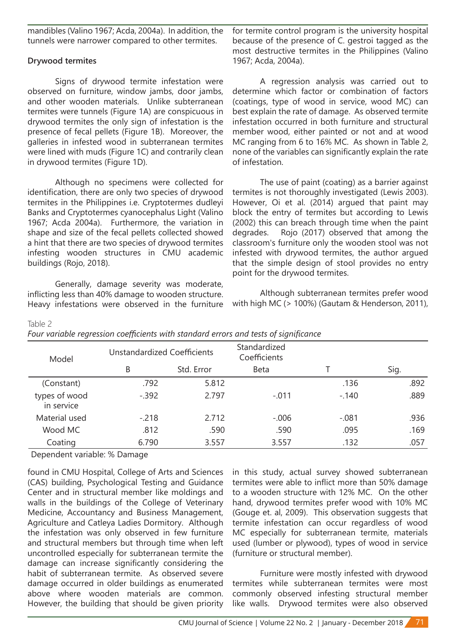mandibles (Valino 1967; Acda, 2004a). In addition, the tunnels were narrower compared to other termites.

## **Drywood termites**

 Signs of drywood termite infestation were observed on furniture, window jambs, door jambs, and other wooden materials. Unlike subterranean termites were tunnels (Figure 1A) are conspicuous in drywood termites the only sign of infestation is the presence of fecal pellets (Figure 1B). Moreover, the galleries in infested wood in subterranean termites were lined with muds (Figure 1C) and contrarily clean in drywood termites (Figure 1D).

 Although no specimens were collected for identification, there are only two species of drywood termites in the Philippines i.e. Cryptotermes dudleyi Banks and Cryptotermes cyanocephalus Light (Valino 1967; Acda 2004a). Furthermore, the variation in shape and size of the fecal pellets collected showed a hint that there are two species of drywood termites infesting wooden structures in CMU academic buildings (Rojo, 2018).

Generally, damage severity was moderate, inflicting less than 40% damage to wooden structure. Heavy infestations were observed in the furniture for termite control program is the university hospital because of the presence of C. gestroi tagged as the most destructive termites in the Philippines (Valino 1967; Acda, 2004a).

 A regression analysis was carried out to determine which factor or combination of factors (coatings, type of wood in service, wood MC) can best explain the rate of damage. As observed termite infestation occurred in both furniture and structural member wood, either painted or not and at wood MC ranging from 6 to 16% MC. As shown in Table 2, none of the variables can significantly explain the rate of infestation.

 The use of paint (coating) as a barrier against termites is not thoroughly investigated (Lewis 2003). However, Oi et al. (2014) argued that paint may block the entry of termites but according to Lewis (2002) this can breach through time when the paint degrades. Rojo (2017) observed that among the classroom's furniture only the wooden stool was not infested with drywood termites, the author argued that the simple design of stool provides no entry point for the drywood termites.

 Although subterranean termites prefer wood with high MC (> 100%) (Gautam & Henderson, 2011),

| Model                       | <b>Unstandardized Coefficients</b> |            | Standardized<br>Coefficients |         |      |
|-----------------------------|------------------------------------|------------|------------------------------|---------|------|
|                             | B                                  | Std. Error | Beta                         |         | Sig. |
| (Constant)                  | .792                               | 5.812      |                              | .136    | .892 |
| types of wood<br>in service | $-.392$                            | 2.797      | $-.011$                      | $-.140$ | .889 |
| Material used               | $-.218$                            | 2.712      | $-.006$                      | $-.081$ | .936 |
| Wood MC                     | .812                               | .590       | .590                         | .095    | .169 |
| Coating                     | 6.790                              | 3.557      | 3.557                        | .132    | .057 |

## Table 2

|  | Four variable regression coefficients with standard errors and tests of significance |  |  |  |  |
|--|--------------------------------------------------------------------------------------|--|--|--|--|

Dependent variable: % Damage

found in CMU Hospital, College of Arts and Sciences (CAS) building, Psychological Testing and Guidance Center and in structural member like moldings and walls in the buildings of the College of Veterinary Medicine, Accountancy and Business Management, Agriculture and Catleya Ladies Dormitory. Although the infestation was only observed in few furniture and structural members but through time when left uncontrolled especially for subterranean termite the damage can increase significantly considering the habit of subterranean termite. As observed severe damage occurred in older buildings as enumerated above where wooden materials are common. However, the building that should be given priority

in this study, actual survey showed subterranean termites were able to inflict more than 50% damage to a wooden structure with 12% MC. On the other hand, drywood termites prefer wood with 10% MC (Gouge et. al, 2009). This observation suggests that termite infestation can occur regardless of wood MC especially for subterranean termite, materials used (lumber or plywood), types of wood in service (furniture or structural member).

 Furniture were mostly infested with drywood termites while subterranean termites were most commonly observed infesting structural member like walls. Drywood termites were also observed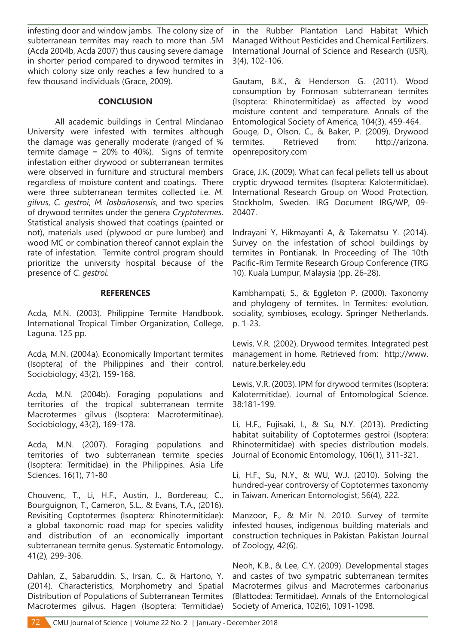infesting door and window jambs. The colony size of subterranean termites may reach to more than .5M (Acda 2004b, Acda 2007) thus causing severe damage in shorter period compared to drywood termites in which colony size only reaches a few hundred to a few thousand individuals (Grace, 2009).

#### **CONCLUSION**

 All academic buildings in Central Mindanao University were infested with termites although the damage was generally moderate (ranged of % termite damage = 20% to 40%). Signs of termite infestation either drywood or subterranean termites were observed in furniture and structural members regardless of moisture content and coatings. There were three subterranean termites collected i.e. *M. gilvus*, *C. gestroi*, *M. losbañosensis*, and two species of drywood termites under the genera *Cryptotermes*. Statistical analysis showed that coatings (painted or not), materials used (plywood or pure lumber) and wood MC or combination thereof cannot explain the rate of infestation. Termite control program should prioritize the university hospital because of the presence of *C. gestroi*.

#### **REFERENCES**

Acda, M.N. (2003). Philippine Termite Handbook. International Tropical Timber Organization, College, Laguna. 125 pp.

Acda, M.N. (2004a). Economically Important termites (Isoptera) of the Philippines and their control. Sociobiology, 43(2), 159-168.

Acda, M.N. (2004b). Foraging populations and territories of the tropical subterranean termite Macrotermes gilvus (Isoptera: Macrotermitinae). Sociobiology, 43(2), 169-178.

Acda, M.N. (2007). Foraging populations and territories of two subterranean termite species (Isoptera: Termitidae) in the Philippines. Asia Life Sciences. 16(1), 71-80

Chouvenc, T., Li, H.F., Austin, J., Bordereau, C., Bourguignon, T., Cameron, S.L., & Evans, T.A., (2016). Revisiting Coptotermes (Isoptera: Rhinotermitidae): a global taxonomic road map for species validity and distribution of an economically important subterranean termite genus. Systematic Entomology, 41(2), 299-306.

Dahlan, Z., Sabaruddin, S., Irsan, C., & Hartono, Y. (2014). Characteristics, Morphometry and Spatial Distribution of Populations of Subterranean Termites Macrotermes gilvus. Hagen (Isoptera: Termitidae) in the Rubber Plantation Land Habitat Which Managed Without Pesticides and Chemical Fertilizers. International Journal of Science and Research (IJSR), 3(4), 102-106.

Gautam, B.K., & Henderson G. (2011). Wood consumption by Formosan subterranean termites (Isoptera: Rhinotermitidae) as affected by wood moisture content and temperature. Annals of the Entomological Society of America, 104(3), 459-464. Gouge, D., Olson, C., & Baker, P. (2009). Drywood termites. Retrieved from: http://arizona. openrepository.com

Grace, J.K. (2009). What can fecal pellets tell us about cryptic drywood termites (Isoptera: Kalotermitidae). International Research Group on Wood Protection, Stockholm, Sweden. IRG Document IRG/WP, 09- 20407.

Indrayani Y, Hikmayanti A, & Takematsu Y. (2014). Survey on the infestation of school buildings by termites in Pontianak. In Proceeding of The 10th Pacific-Rim Termite Research Group Conference (TRG 10). Kuala Lumpur, Malaysia (pp. 26-28).

Kambhampati, S., & Eggleton P. (2000). Taxonomy and phylogeny of termites. In Termites: evolution, sociality, symbioses, ecology. Springer Netherlands. p. 1-23.

Lewis, V.R. (2002). Drywood termites. Integrated pest management in home. Retrieved from: http://www. nature.berkeley.edu

Lewis, V.R. (2003). IPM for drywood termites (Isoptera: Kalotermitidae). Journal of Entomological Science. 38:181-199.

Li, H.F., Fujisaki, I., & Su, N.Y. (2013). Predicting habitat suitability of Coptotermes gestroi (Isoptera: Rhinotermitidae) with species distribution models. Journal of Economic Entomology, 106(1), 311-321.

Li, H.F., Su, N.Y., & WU, W.J. (2010). Solving the hundred-year controversy of Coptotermes taxonomy in Taiwan. American Entomologist, 56(4), 222.

Manzoor, F., & Mir N. 2010. Survey of termite infested houses, indigenous building materials and construction techniques in Pakistan. Pakistan Journal of Zoology, 42(6).

Neoh, K.B., & Lee, C.Y. (2009). Developmental stages and castes of two sympatric subterranean termites Macrotermes gilvus and Macrotermes carbonarius (Blattodea: Termitidae). Annals of the Entomological Society of America, 102(6), 1091-1098.